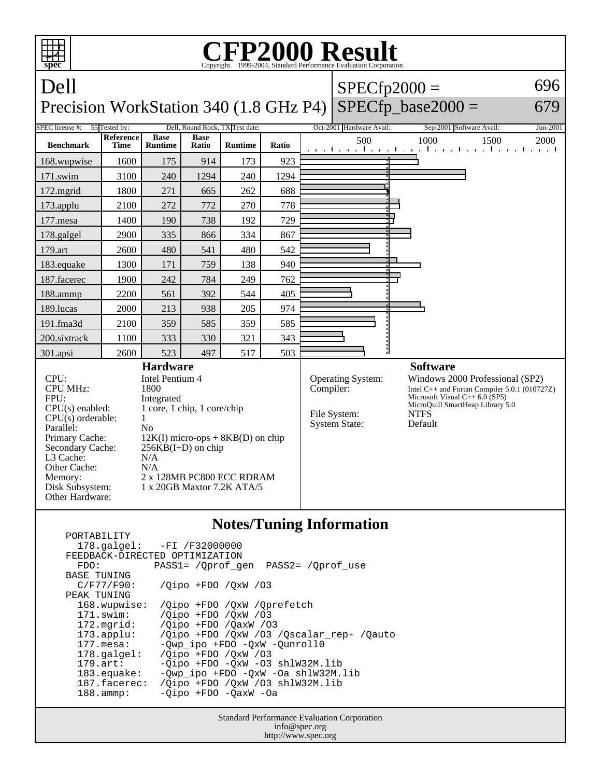

|                                | 178.galgel: -FI /F32000000                      |
|--------------------------------|-------------------------------------------------|
| FEEDBACK-DIRECTED OPTIMIZATION |                                                 |
| FDO:                           | PASS1= /Oprof gen PASS2= /Oprof use             |
| BASE TUNING                    |                                                 |
| C/F77/F90:                     | /Oipo +FDO /OxW /03                             |
| PEAK TUNING                    |                                                 |
| 168.wupwise:                   | /Oipo +FDO /OxW /Oprefetch                      |
| $171$ .swim:                   | /Oipo +FDO /OxW /03                             |
| $172.\text{mgrid}:$            | $\sqrt{O}$ ipo +FDO $\sqrt{O}$ axW $\sqrt{O}$ 3 |
| $173.\text{applu}:$            | /Qipo +FDO /QxW /03 /Qscalar_rep- /Qauto        |
| $177.\text{mesa}$ :            | -Qwp_ipo +FDO -QxW -Qunroll0                    |
| $178.\text{qalgel}$ :          | $\sqrt{O}$ ipo +FDO $\sqrt{O}$ xW $\sqrt{O}$ 3  |
| $179.\text{art}$ :             | $-Oipo$ +FDO $-OxW$ -O3 shlW32M.lib             |
| 183.equake:                    | -Owp ipo +FDO -OxW -Oa shlW32M.lib              |
| 187.facerec:                   | /Oipo +FDO /OxW /O3 shlW32M.lib                 |
| $188.\t{amm:}$                 | -Qipo +FDO -QaxW -Oa                            |
|                                |                                                 |

Standard Performance Evaluation Corporation info@spec.org http://www.spec.org